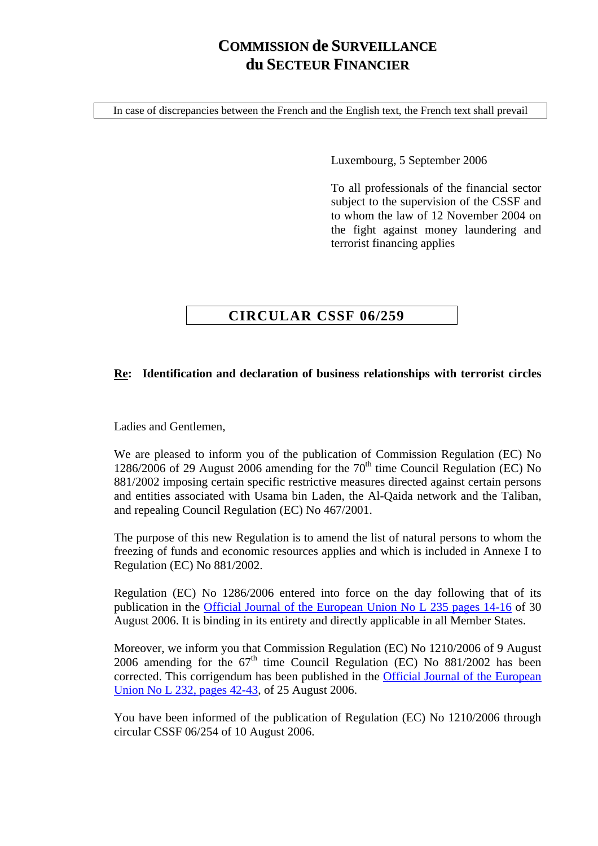## **COMMISSION de SURVEILLANCE du SECTEUR FINANCIER**

In case of discrepancies between the French and the English text, the French text shall prevail

Luxembourg, 5 September 2006

To all professionals of the financial sector subject to the supervision of the CSSF and to whom the law of 12 November 2004 on the fight against money laundering and terrorist financing applies

## **CIRCULAR CSSF 06/259**

## **Re: Identification and declaration of business relationships with terrorist circles**

Ladies and Gentlemen,

We are pleased to inform you of the publication of Commission Regulation (EC) No 1286/2006 of 29 August 2006 amending for the  $70<sup>th</sup>$  time Council Regulation (EC) No 881/2002 imposing certain specific restrictive measures directed against certain persons and entities associated with Usama bin Laden, the Al-Qaida network and the Taliban, and repealing Council Regulation (EC) No 467/2001.

The purpose of this new Regulation is to amend the list of natural persons to whom the freezing of funds and economic resources applies and which is included in Annexe I to Regulation (EC) No 881/2002.

Regulation (EC) No 1286/2006 entered into force on the day following that of its publication in the [Official Journal of the European Union No L 235 pages 14-16](http://eur-lex.europa.eu/LexUriServ/LexUriServ.do?uri=OJ:L:2006:235:0014:0016:EN:PDF) of 30 August 2006. It is binding in its entirety and directly applicable in all Member States.

Moreover, we inform you that Commission Regulation (EC) No 1210/2006 of 9 August 2006 amending for the  $67<sup>th</sup>$  time Council Regulation (EC) No 881/2002 has been corrected. This corrigendum has been published in the [Official Journal of the European](http://eur-lex.europa.eu/LexUriServ/LexUriServ.do?uri=OJ:L:2006:232:0042:0043:EN:PDF)  [Union No L 232, pages 42-43,](http://eur-lex.europa.eu/LexUriServ/LexUriServ.do?uri=OJ:L:2006:232:0042:0043:EN:PDF) of 25 August 2006.

You have been informed of the publication of Regulation (EC) No 1210/2006 through circular CSSF 06/254 of 10 August 2006.